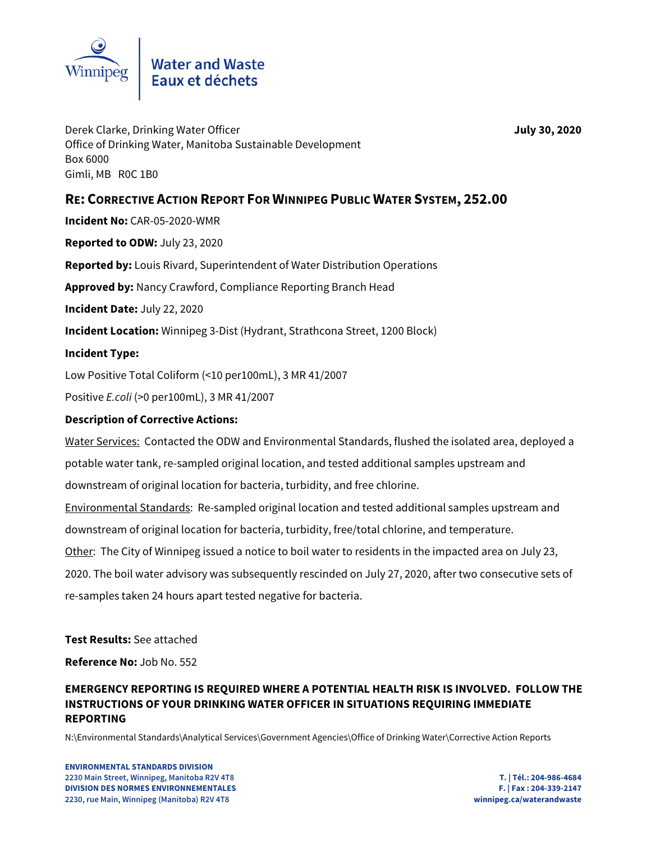

Derek Clarke, Drinking Water Officer **July 30, 2020** Office of Drinking Water, Manitoba Sustainable Development Box 6000 Gimli, MB R0C 1B0

# **RE: CORRECTIVE ACTION REPORT FOR WINNIPEG PUBLIC WATER SYSTEM, 252.00**

**Incident No:** CAR-05-2020-WMR

**Reported to ODW:** July 23, 2020

**Reported by:** Louis Rivard, Superintendent of Water Distribution Operations

**Approved by:** Nancy Crawford, Compliance Reporting Branch Head

**Incident Date:** July 22, 2020

**Incident Location:** Winnipeg 3-Dist (Hydrant, Strathcona Street, 1200 Block)

## **Incident Type:**

Low Positive Total Coliform (<10 per100mL), 3 MR 41/2007

Positive E.coli (>0 per100mL), 3 MR 41/2007

## **Description of Corrective Actions:**

Water Services: Contacted the ODW and Environmental Standards, flushed the isolated area, deployed a potable water tank, re-sampled original location, and tested additional samples upstream and downstream of original location for bacteria, turbidity, and free chlorine.

Environmental Standards: Re-sampled original location and tested additional samples upstream and downstream of original location for bacteria, turbidity, free/total chlorine, and temperature.

Other: The City of Winnipeg issued a notice to boil water to residents in the impacted area on July 23,

2020. The boil water advisory was subsequently rescinded on July 27, 2020, after two consecutive sets of re-samples taken 24 hours apart tested negative for bacteria.

#### **Test Results:** See attached

**Reference No:** Job No. 552

## **EMERGENCY REPORTING IS REQUIRED WHERE A POTENTIAL HEALTH RISK IS INVOLVED. FOLLOW THE INSTRUCTIONS OF YOUR DRINKING WATER OFFICER IN SITUATIONS REQUIRING IMMEDIATE REPORTING**

N:\Environmental Standards\Analytical Services\Government Agencies\Office of Drinking Water\Corrective Action Reports